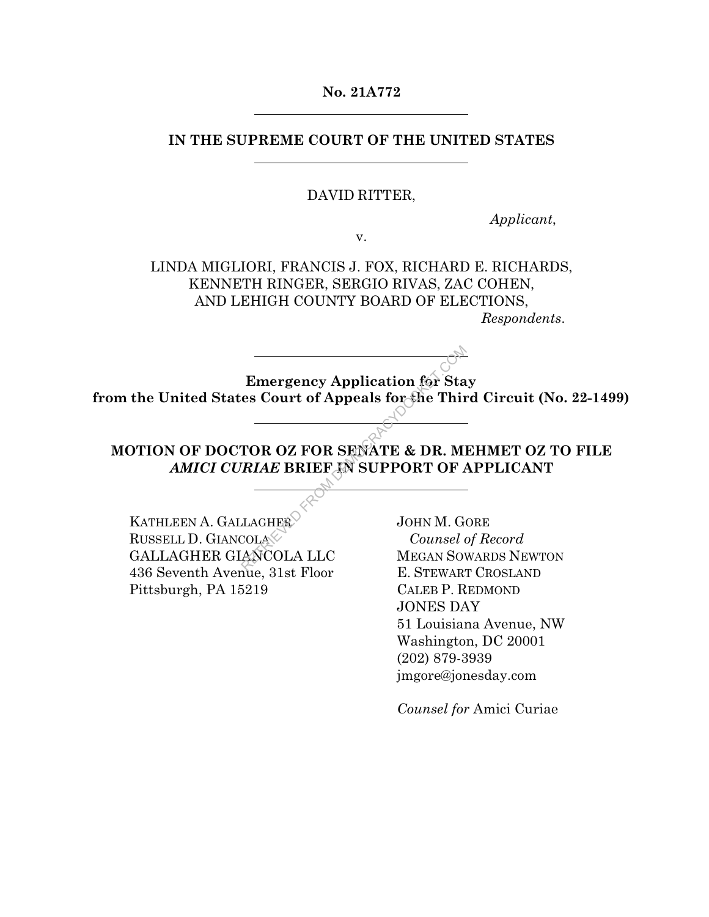### **No. 21A772**

## **IN THE SUPREME COURT OF THE UNITED STATES**

### DAVID RITTER,

*Applicant*,

v.

LINDA MIGLIORI, FRANCIS J. FOX, RICHARD E. RICHARDS, KENNETH RINGER, SERGIO RIVAS, ZAC COHEN, AND LEHIGH COUNTY BOARD OF ELECTIONS,

*Respondents*.

**Emergency Application for Stay from the United States Court of Appeals for the Third Circuit (No. 22-1499)**  Emergency Application for Sta<br>
es Court of Appeals for the Thir<br>
TOR OZ FOR SENATE & DR. MI<br>
RIAE BRIEF IN SUPPORT OF A<br>
LAGHER
SUPPORT OF A<br>
COLA COLA Counsel (ANCOLA LLC MEGAN SON

**MOTION OF DOCTOR OZ FOR SENATE & DR. MEHMET OZ TO FILE**  *AMICI CURIAE* **BRIEF IN SUPPORT OF APPLICANT** 

KATHLEEN A. GALLAGHER RUSSELL D. GIANCOLA GALLAGHER GIANCOLA LLC 436 Seventh Avenue, 31st Floor Pittsburgh, PA 15219

JOHN M. GORE *Counsel of Record*  MEGAN SOWARDS NEWTON E. STEWART CROSLAND CALEB P. REDMOND JONES DAY 51 Louisiana Avenue, NW Washington, DC 20001 (202) 879-3939 jmgore@jonesday.com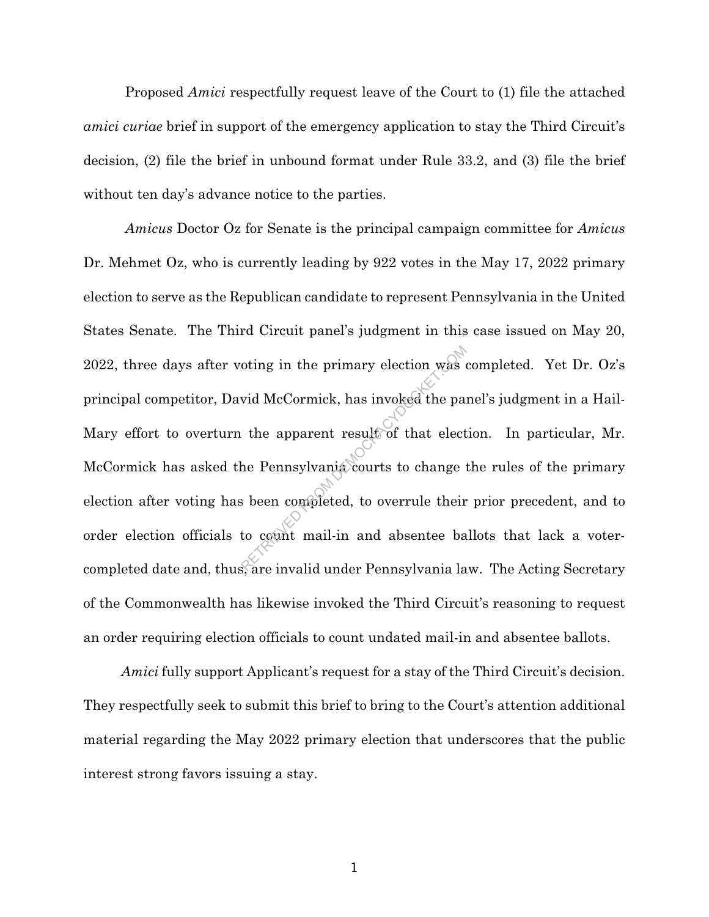Proposed *Amici* respectfully request leave of the Court to (1) file the attached *amici curiae* brief in support of the emergency application to stay the Third Circuit's decision, (2) file the brief in unbound format under Rule 33.2, and (3) file the brief without ten day's advance notice to the parties.

*Amicus* Doctor Oz for Senate is the principal campaign committee for *Amicus* Dr. Mehmet Oz, who is currently leading by 922 votes in the May 17, 2022 primary election to serve as the Republican candidate to represent Pennsylvania in the United States Senate. The Third Circuit panel's judgment in this case issued on May 20, 2022, three days after voting in the primary election was completed. Yet Dr. Oz's principal competitor, David McCormick, has invoked the panel's judgment in a Hail-Mary effort to overturn the apparent result of that election. In particular, Mr. McCormick has asked the Pennsylvania courts to change the rules of the primary election after voting has been completed, to overrule their prior precedent, and to order election officials to count mail-in and absentee ballots that lack a votercompleted date and, thus, are invalid under Pennsylvania law. The Acting Secretary of the Commonwealth has likewise invoked the Third Circuit's reasoning to request an order requiring election officials to count undated mail-in and absentee ballots. oting in the primary election was<br>wid McCormick, has invoked the particle of that elect<br>the Pennsylvania courts to change<br>is been completed, to overrule their<br>to count mail-in and absentee ba

*Amici* fully support Applicant's request for a stay of the Third Circuit's decision. They respectfully seek to submit this brief to bring to the Court's attention additional material regarding the May 2022 primary election that underscores that the public interest strong favors issuing a stay.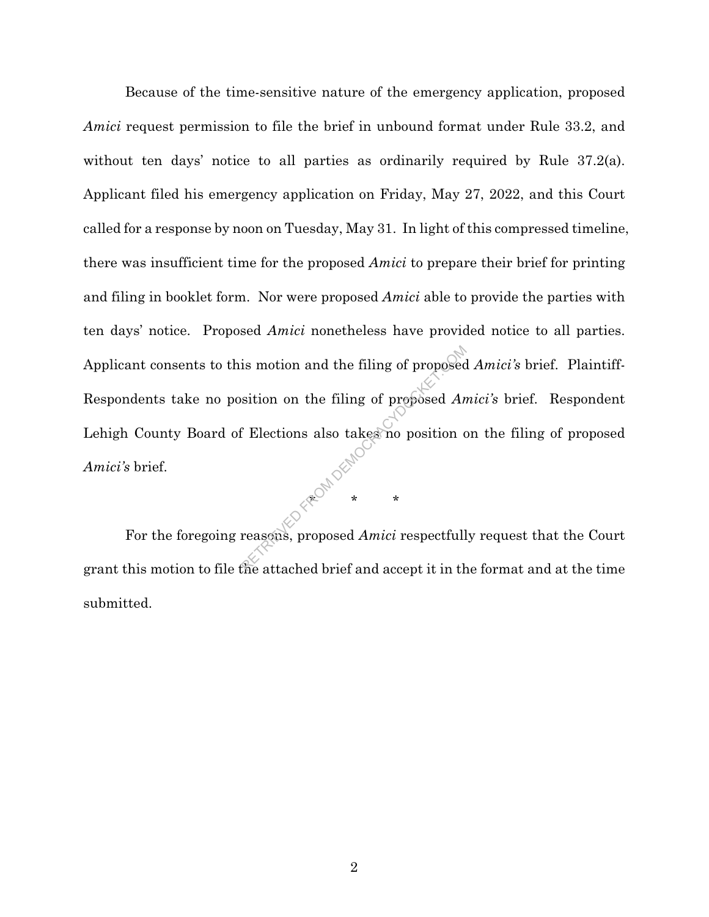Because of the time-sensitive nature of the emergency application, proposed *Amici* request permission to file the brief in unbound format under Rule 33.2, and without ten days' notice to all parties as ordinarily required by Rule 37.2(a). Applicant filed his emergency application on Friday, May 27, 2022, and this Court called for a response by noon on Tuesday, May 31. In light of this compressed timeline, there was insufficient time for the proposed *Amici* to prepare their brief for printing and filing in booklet form. Nor were proposed *Amici* able to provide the parties with ten days' notice. Proposed *Amici* nonetheless have provided notice to all parties. Applicant consents to this motion and the filing of proposed *Amici's* brief. Plaintiff-Respondents take no position on the filing of proposed *Amici's* brief. Respondent Lehigh County Board of Elections also takes no position on the filing of proposed *Amici's* brief. is motion and the filing of proposed<br>sition on the filing of proposed  $An$ <br>f Elections also takes no position of<br>reasons, proposed  $Amici$  respectfull<br>the attached brief and accent it in the

 For the foregoing reasons, proposed *Amici* respectfully request that the Court grant this motion to file the attached brief and accept it in the format and at the time submitted.

\* \* \*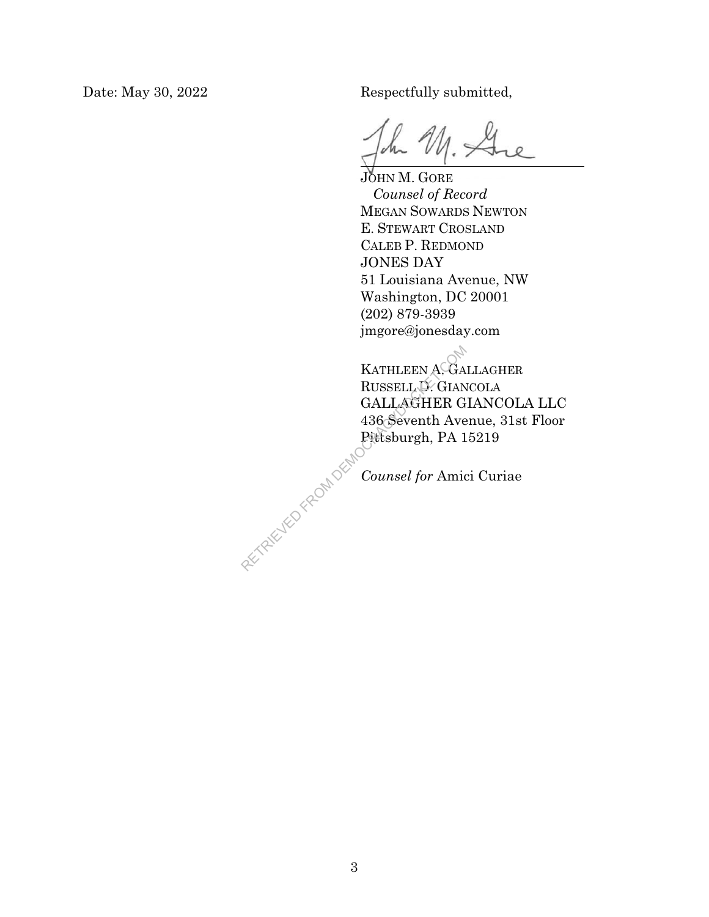Date: May 30, 2022 Respectfully submitted,

JOHN M. GORE *Counsel of Record*  MEGAN SOWARDS NEWTON E. STEWART CROSLAND CALEB P. REDMOND JONES DAY 51 Louisiana Avenue, NW Washington, DC 20001 (202) 879-3939 jmgore@jonesday.com

KATHLEEN A. GALLAGHER RUSSELL D. GIANCOLA GALLAGHER GIANCOLA LLC 436 Seventh Avenue, 31st Floor Pittsburgh, PA 15219 RETRIEVED FROM DEMOC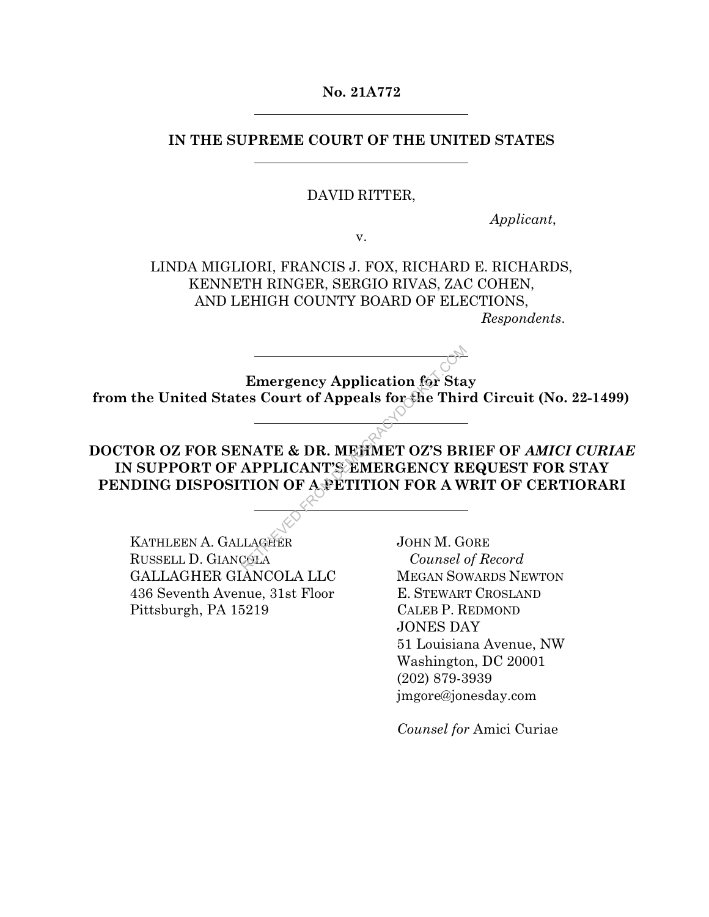## **No. 21A772**

## **IN THE SUPREME COURT OF THE UNITED STATES**

### DAVID RITTER,

*Applicant*,

v.

LINDA MIGLIORI, FRANCIS J. FOX, RICHARD E. RICHARDS, KENNETH RINGER, SERGIO RIVAS, ZAC COHEN, AND LEHIGH COUNTY BOARD OF ELECTIONS,

*Respondents*.

**Emergency Application for Stay from the United States Court of Appeals for the Third Circuit (No. 22-1499)** 

**DOCTOR OZ FOR SENATE & DR. MEHMET OZ'S BRIEF OF** *AMICI CURIAE* **IN SUPPORT OF APPLICANT'S EMERGENCY REQUEST FOR STAY PENDING DISPOSITION OF A PETITION FOR A WRIT OF CERTIORARI** Emergency Application for Sta<br>
es Court of Appeals for the Thir<br>
NATE & DR. MEHMET OZ'S BR<br>
APPLICANT'S EMERGENCY RI<br>
TION OF A PETITION FOR A W<br>
LAGEER
JOHN M. GOUNSEL

KATHLEEN A. GALLAGHER RUSSELL D. GIANCOLA GALLAGHER GIANCOLA LLC 436 Seventh Avenue, 31st Floor Pittsburgh, PA 15219

JOHN M. GORE *Counsel of Record*  MEGAN SOWARDS NEWTON E. STEWART CROSLAND CALEB P. REDMOND JONES DAY 51 Louisiana Avenue, NW Washington, DC 20001 (202) 879-3939 jmgore@jonesday.com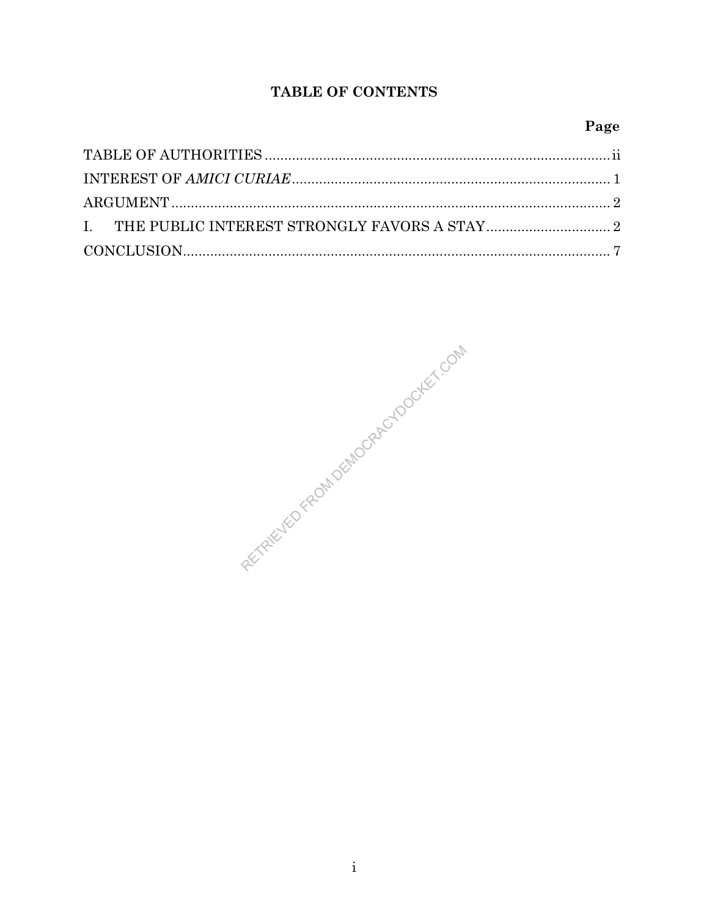# TABLE OF CONTENTS

# Page

REVIEWED FROM DEMOCRACYDOCKEY, COM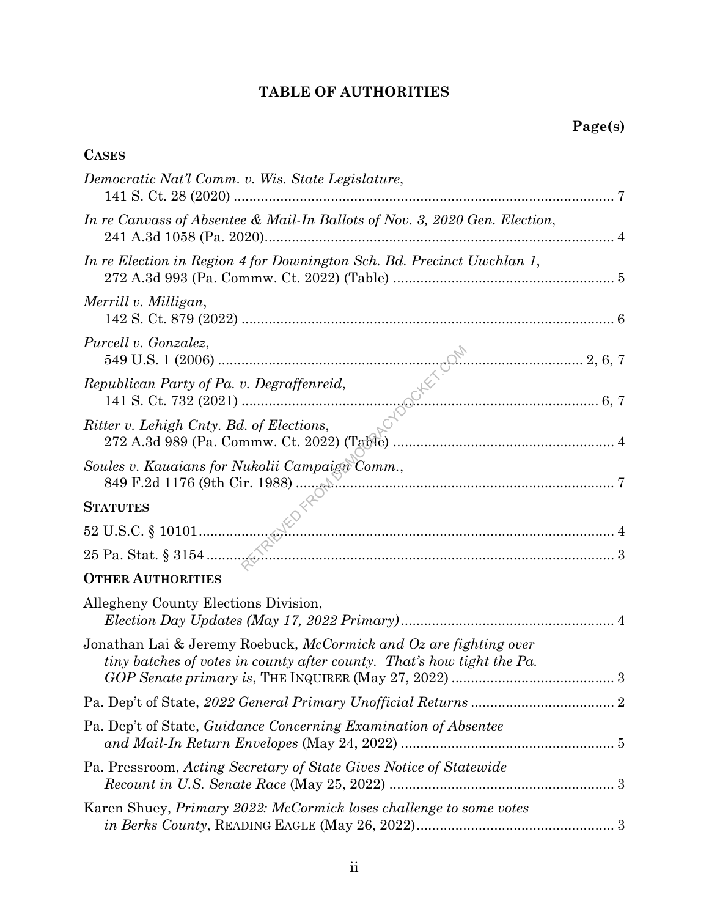# **TABLE OF AUTHORITIES**

# **CASES**

| Democratic Nat'l Comm. v. Wis. State Legislature,                                                                                           |  |
|---------------------------------------------------------------------------------------------------------------------------------------------|--|
| In re Canvass of Absentee & Mail-In Ballots of Nov. 3, 2020 Gen. Election,                                                                  |  |
| In re Election in Region 4 for Downington Sch. Bd. Precinct Uwchlan 1,                                                                      |  |
| Merrill v. Milligan,                                                                                                                        |  |
| Purcell v. Gonzalez,                                                                                                                        |  |
|                                                                                                                                             |  |
|                                                                                                                                             |  |
| Soules v. Kauaians for Nukolii Campaign Comm.,                                                                                              |  |
| <b>STATUTES</b>                                                                                                                             |  |
|                                                                                                                                             |  |
|                                                                                                                                             |  |
| <b>OTHER AUTHORITIES</b>                                                                                                                    |  |
| Allegheny County Elections Division,                                                                                                        |  |
| Jonathan Lai & Jeremy Roebuck, McCormick and Oz are fighting over<br>tiny batches of votes in county after county. That's how tight the Pa. |  |
|                                                                                                                                             |  |
| Pa. Dep't of State, Guidance Concerning Examination of Absentee                                                                             |  |
| Pa. Pressroom, Acting Secretary of State Gives Notice of Statewide                                                                          |  |
| Karen Shuey, Primary 2022: McCormick loses challenge to some votes                                                                          |  |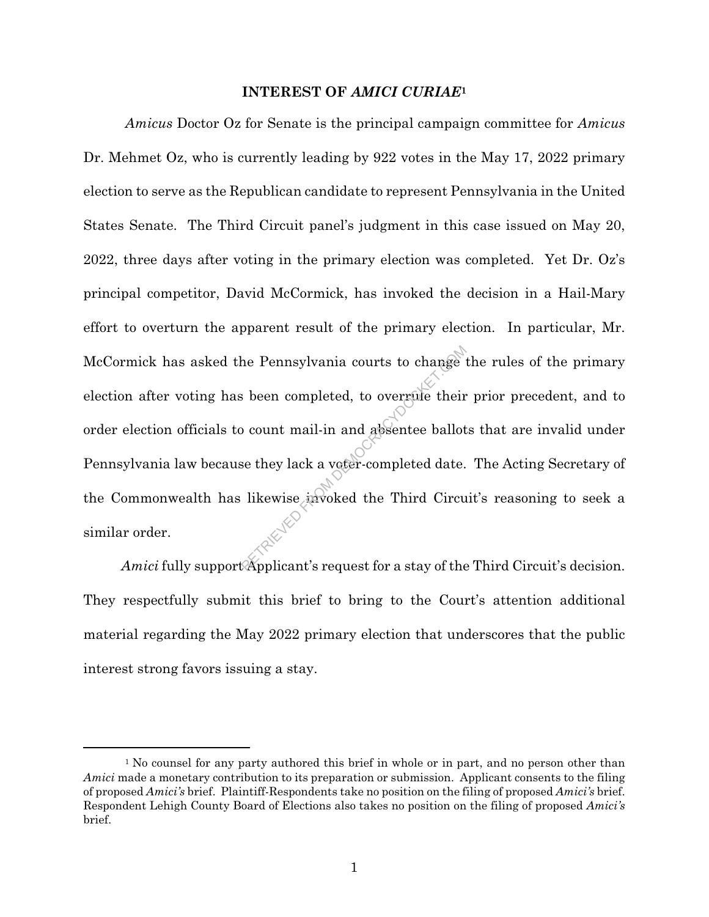### **INTEREST OF** *AMICI CURIAE***<sup>1</sup>**

*Amicus* Doctor Oz for Senate is the principal campaign committee for *Amicus* Dr. Mehmet Oz, who is currently leading by 922 votes in the May 17, 2022 primary election to serve as the Republican candidate to represent Pennsylvania in the United States Senate. The Third Circuit panel's judgment in this case issued on May 20, 2022, three days after voting in the primary election was completed. Yet Dr. Oz's principal competitor, David McCormick, has invoked the decision in a Hail-Mary effort to overturn the apparent result of the primary election. In particular, Mr. McCormick has asked the Pennsylvania courts to change the rules of the primary election after voting has been completed, to overrule their prior precedent, and to order election officials to count mail-in and absentee ballots that are invalid under Pennsylvania law because they lack a voter-completed date. The Acting Secretary of the Commonwealth has likewise invoked the Third Circuit's reasoning to seek a similar order. References to change<br>as been completed, to overgue their<br>o count mail-in and absentee ballot<br>se they lack a voter-completed date.<br>likewise avoked the Third Circu<br>servoked the Third Circu<br>complicant's request for a stay of

*Amici* fully support Applicant's request for a stay of the Third Circuit's decision. They respectfully submit this brief to bring to the Court's attention additional material regarding the May 2022 primary election that underscores that the public interest strong favors issuing a stay.

<sup>&</sup>lt;sup>1</sup> No counsel for any party authored this brief in whole or in part, and no person other than *Amici* made a monetary contribution to its preparation or submission. Applicant consents to the filing of proposed *Amici's* brief. Plaintiff-Respondents take no position on the filing of proposed *Amici's* brief. Respondent Lehigh County Board of Elections also takes no position on the filing of proposed *Amici's* brief.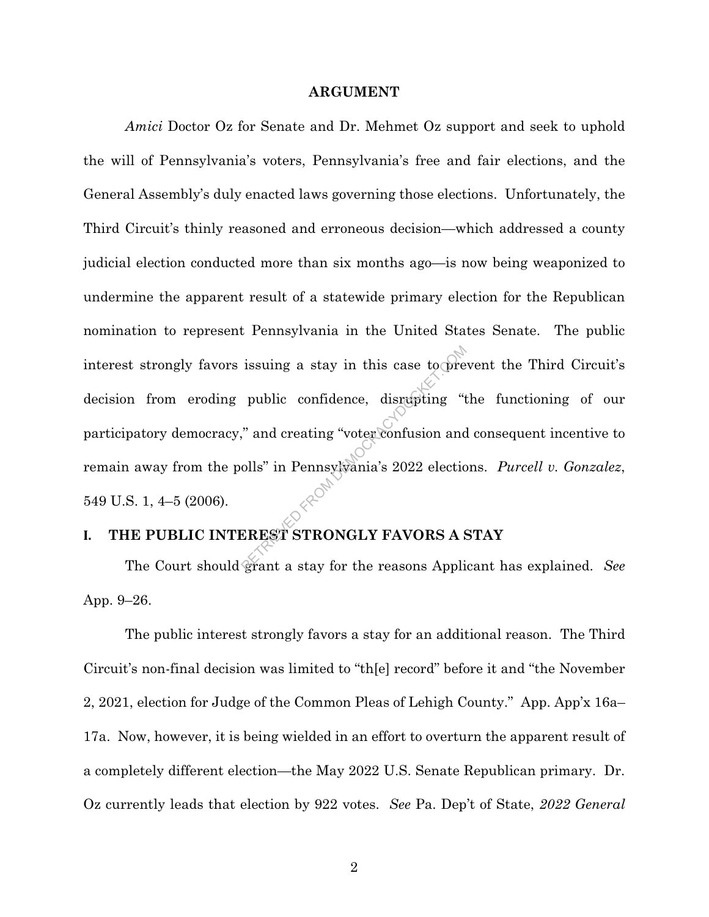#### **ARGUMENT**

*Amici* Doctor Oz for Senate and Dr. Mehmet Oz support and seek to uphold the will of Pennsylvania's voters, Pennsylvania's free and fair elections, and the General Assembly's duly enacted laws governing those elections. Unfortunately, the Third Circuit's thinly reasoned and erroneous decision—which addressed a county judicial election conducted more than six months ago—is now being weaponized to undermine the apparent result of a statewide primary election for the Republican nomination to represent Pennsylvania in the United States Senate. The public interest strongly favors issuing a stay in this case to prevent the Third Circuit's decision from eroding public confidence, disrupting "the functioning of our participatory democracy," and creating "voter confusion and consequent incentive to remain away from the polls" in Pennsylvania's 2022 elections. *Purcell v. Gonzalez*, 549 U.S. 1, 4–5 (2006). issuing a stay in this case to order<br>public confidence, disrupting "t<br>" and creating "voter confusion and<br>olls" in Pennsylvania's 2022 electic<br> $\begin{pmatrix} 1 & 0 \\ 0 & 0 \end{pmatrix}$ <br>EREST STRONGLY FAVORS A s

## **I. THE PUBLIC INTEREST STRONGLY FAVORS A STAY**

The Court should grant a stay for the reasons Applicant has explained. *See* App. 9–26.

The public interest strongly favors a stay for an additional reason. The Third Circuit's non-final decision was limited to "th[e] record" before it and "the November 2, 2021, election for Judge of the Common Pleas of Lehigh County." App. App'x 16a– 17a. Now, however, it is being wielded in an effort to overturn the apparent result of a completely different election—the May 2022 U.S. Senate Republican primary. Dr. Oz currently leads that election by 922 votes. *See* Pa. Dep't of State, *2022 General*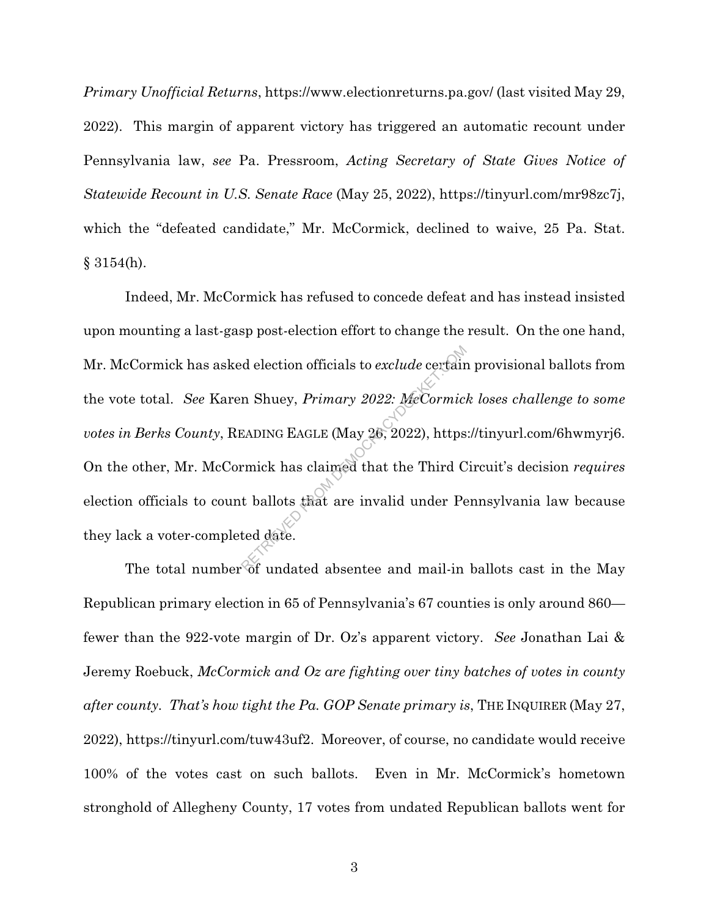*Primary Unofficial Returns*, https://www.electionreturns.pa.gov/ (last visited May 29, 2022). This margin of apparent victory has triggered an automatic recount under Pennsylvania law, *see* Pa. Pressroom, *Acting Secretary of State Gives Notice of Statewide Recount in U.S. Senate Race* (May 25, 2022), https://tinyurl.com/mr98zc7j, which the "defeated candidate," Mr. McCormick, declined to waive, 25 Pa. Stat.  $§ 3154(h).$ 

Indeed, Mr. McCormick has refused to concede defeat and has instead insisted upon mounting a last-gasp post-election effort to change the result. On the one hand, Mr. McCormick has asked election officials to *exclude* certain provisional ballots from the vote total. See Karen Shuey, *Primary 2022: MeCormick loses challenge to some votes in Berks County*, READING EAGLE (May 26, 2022), https://tinyurl.com/6hwmyrj6. On the other, Mr. McCormick has claimed that the Third Circuit's decision *requires* election officials to count ballots that are invalid under Pennsylvania law because they lack a voter-completed date. d election officials to exclude certain<br>
n Shuey, *Primary 2022: MeCormic*.<br>
EADING EAGLE (May 26, 2022), https<br>
rmick has claimed that the Third C<br>
t ballots that are invalid under Pe<br>
ted date.

The total number of undated absentee and mail-in ballots cast in the May Republican primary election in 65 of Pennsylvania's 67 counties is only around 860 fewer than the 922-vote margin of Dr. Oz's apparent victory. *See* Jonathan Lai & Jeremy Roebuck, *McCormick and Oz are fighting over tiny batches of votes in county after county. That's how tight the Pa. GOP Senate primary is*, THE INQUIRER (May 27, 2022), https://tinyurl.com/tuw43uf2. Moreover, of course, no candidate would receive 100% of the votes cast on such ballots. Even in Mr. McCormick's hometown stronghold of Allegheny County, 17 votes from undated Republican ballots went for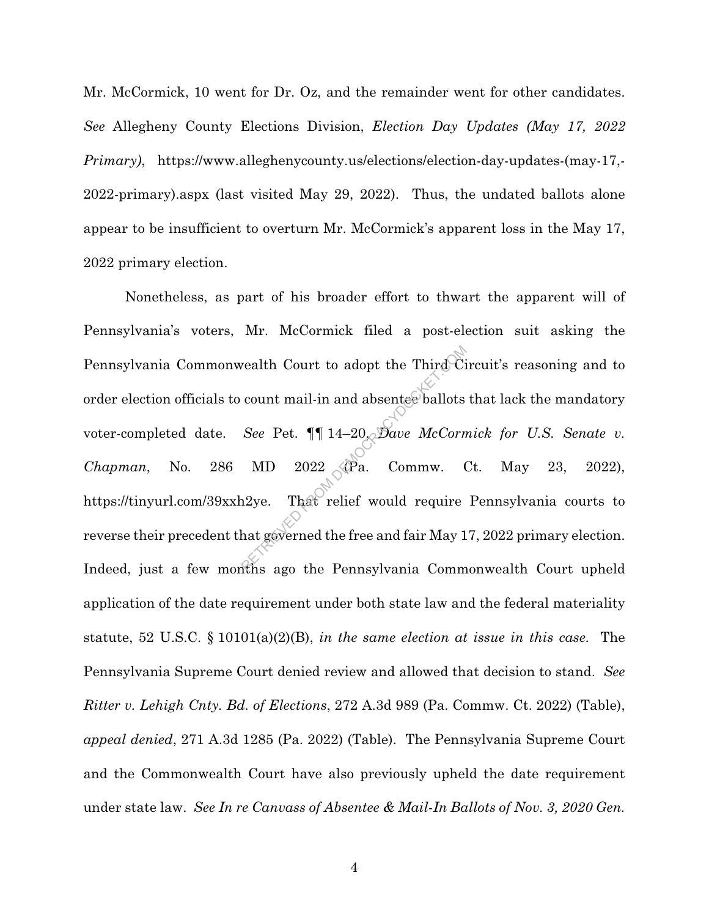Mr. McCormick, 10 went for Dr. Oz, and the remainder went for other candidates. *See* Allegheny County Elections Division, *Election Day Updates (May 17, 2022 Primary)*, https://www.alleghenycounty.us/elections/election-day-updates-(may-17,- 2022-primary).aspx (last visited May 29, 2022). Thus, the undated ballots alone appear to be insufficient to overturn Mr. McCormick's apparent loss in the May 17, 2022 primary election.

Nonetheless, as part of his broader effort to thwart the apparent will of Pennsylvania's voters, Mr. McCormick filed a post-election suit asking the Pennsylvania Commonwealth Court to adopt the Third Circuit's reasoning and to order election officials to count mail-in and absentee ballots that lack the mandatory voter-completed date. *See* Pet. ¶¶ 14–20, *Dave McCormick for U.S. Senate v. Chapman*, No. 286 MD 2022 (Pa. Commw. Ct. May 23, 2022), https://tinyurl.com/39xxh2ye. That relief would require Pennsylvania courts to reverse their precedent that governed the free and fair May 17, 2022 primary election. Indeed, just a few months ago the Pennsylvania Commonwealth Court upheld application of the date requirement under both state law and the federal materiality statute, 52 U.S.C. § 10101(a)(2)(B), *in the same election at issue in this case*. The Pennsylvania Supreme Court denied review and allowed that decision to stand. *See Ritter v. Lehigh Cnty. Bd. of Elections*, 272 A.3d 989 (Pa. Commw. Ct. 2022) (Table), *appeal denied*, 271 A.3d 1285 (Pa. 2022) (Table). The Pennsylvania Supreme Court and the Commonwealth Court have also previously upheld the date requirement under state law. *See In re Canvass of Absentee & Mail-In Ballots of Nov. 3, 2020 Gen.*  realth Court to adopt the Third Ci<br>
count mail-in and absentee ballots<br>
See Pet.  $\P\P$  14–20, Dave McCorn<br>
MD 2022 (Pa. Commw. (<br>
12ye. That relief would require<br>
hat gaverned the free and fair May 1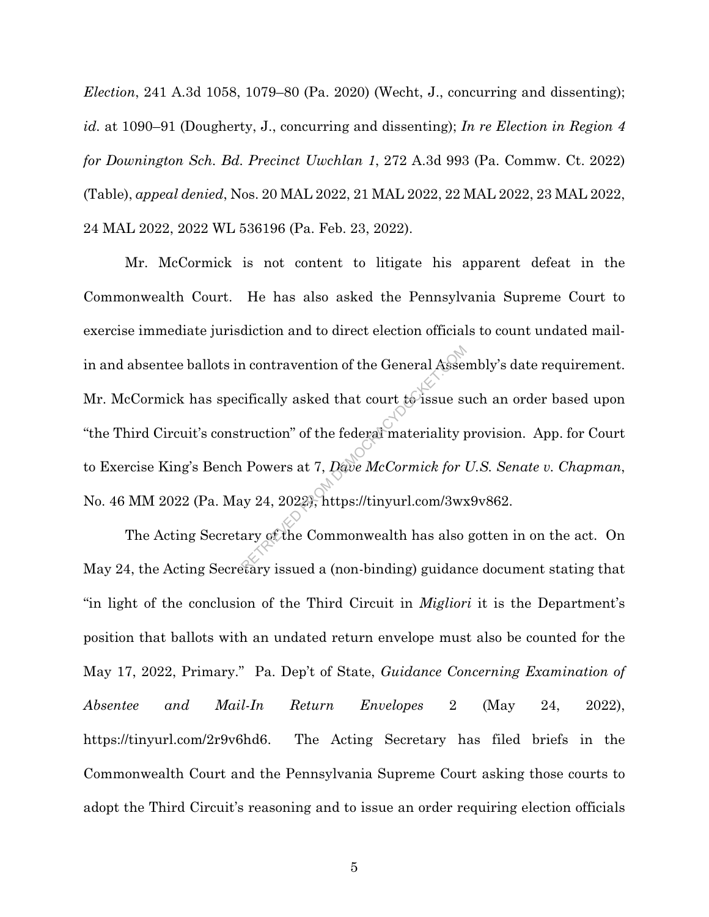*Election*, 241 A.3d 1058, 1079–80 (Pa. 2020) (Wecht, J., concurring and dissenting); *id.* at 1090–91 (Dougherty, J., concurring and dissenting); *In re Election in Region 4 for Downington Sch. Bd. Precinct Uwchlan 1*, 272 A.3d 993 (Pa. Commw. Ct. 2022) (Table), *appeal denied*, Nos. 20 MAL 2022, 21 MAL 2022, 22 MAL 2022, 23 MAL 2022, 24 MAL 2022, 2022 WL 536196 (Pa. Feb. 23, 2022).

Mr. McCormick is not content to litigate his apparent defeat in the Commonwealth Court. He has also asked the Pennsylvania Supreme Court to exercise immediate jurisdiction and to direct election officials to count undated mailin and absentee ballots in contravention of the General Assembly's date requirement. Mr. McCormick has specifically asked that court to issue such an order based upon "the Third Circuit's construction" of the federal materiality provision. App. for Court to Exercise King's Bench Powers at 7, *Dave McCormick for U.S. Senate v. Chapman*, No. 46 MM 2022 (Pa. May 24, 2022), https://tinyurl.com/3wx9v862. refically asked that court to issue subtruction" of the federal materiality provers at 7, Dave McCormick for intervalsed a (non-hinding) cuidance

The Acting Secretary of the Commonwealth has also gotten in on the act. On May 24, the Acting Secretary issued a (non-binding) guidance document stating that "in light of the conclusion of the Third Circuit in *Migliori* it is the Department's position that ballots with an undated return envelope must also be counted for the May 17, 2022, Primary." Pa. Dep't of State, *Guidance Concerning Examination of Absentee and Mail-In Return Envelopes* 2 (May 24, 2022), https://tinyurl.com/2r9v6hd6. The Acting Secretary has filed briefs in the Commonwealth Court and the Pennsylvania Supreme Court asking those courts to adopt the Third Circuit's reasoning and to issue an order requiring election officials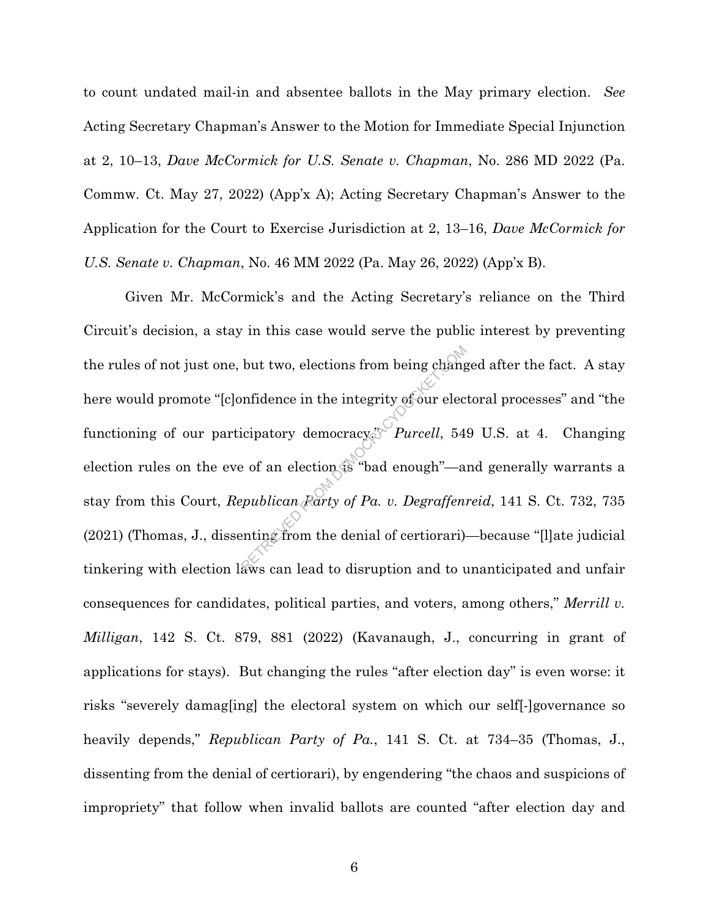to count undated mail-in and absentee ballots in the May primary election. *See* Acting Secretary Chapman's Answer to the Motion for Immediate Special Injunction at 2, 10–13, *Dave McCormick for U.S. Senate v. Chapman*, No. 286 MD 2022 (Pa. Commw. Ct. May 27, 2022) (App'x A); Acting Secretary Chapman's Answer to the Application for the Court to Exercise Jurisdiction at 2, 13–16, *Dave McCormick for U.S. Senate v. Chapman*, No. 46 MM 2022 (Pa. May 26, 2022) (App'x B).

Given Mr. McCormick's and the Acting Secretary's reliance on the Third Circuit's decision, a stay in this case would serve the public interest by preventing the rules of not just one, but two, elections from being changed after the fact. A stay here would promote "[c]onfidence in the integrity of our electoral processes" and "the functioning of our participatory democracy." *Purcell*, 549 U.S. at 4. Changing election rules on the eve of an election is "bad enough"—and generally warrants a stay from this Court, *Republican Party of Pa. v. Degraffenreid*, 141 S. Ct. 732, 735 (2021) (Thomas, J., dissenting from the denial of certiorari)—because "[l]ate judicial tinkering with election laws can lead to disruption and to unanticipated and unfair consequences for candidates, political parties, and voters, among others," *Merrill v. Milligan*, 142 S. Ct. 879, 881 (2022) (Kavanaugh, J., concurring in grant of applications for stays). But changing the rules "after election day" is even worse: it risks "severely damag[ing] the electoral system on which our self[-]governance so heavily depends," *Republican Party of Pa.*, 141 S. Ct. at 734–35 (Thomas, J., dissenting from the denial of certiorari), by engendering "the chaos and suspicions of impropriety" that follow when invalid ballots are counted "after election day and but two, elections from being change<br>
infidence in the integrity of our elections is "*Purcell*, 54<br>
e of an election is "bad enough"—a<br>
epublican *Rarty of Pa. v. Degraffen*:<br>
enting from the denial of certiorari)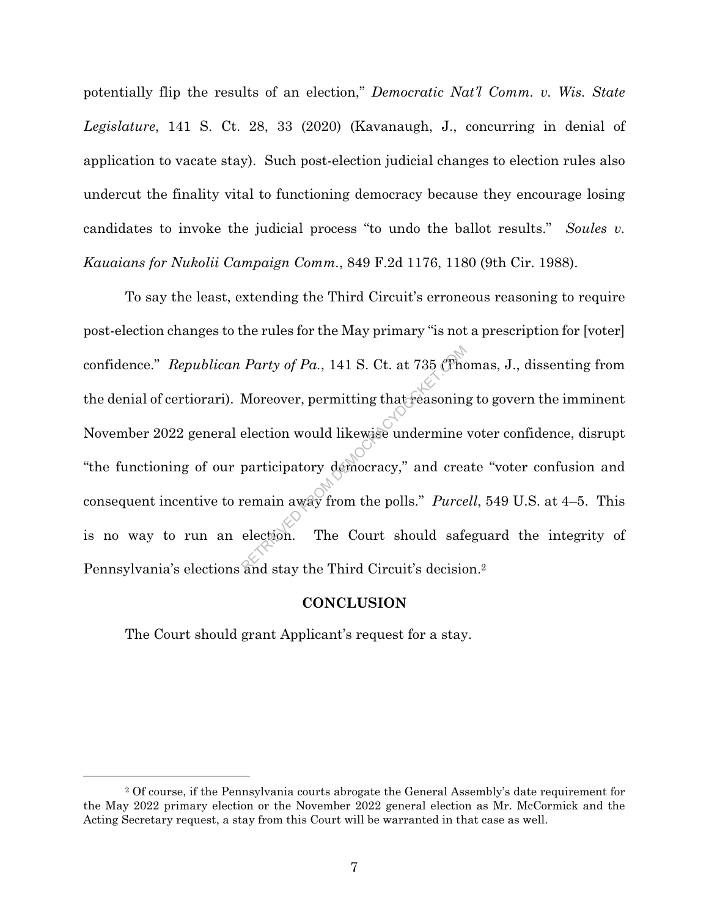potentially flip the results of an election," *Democratic Nat'l Comm. v. Wis. State Legislature*, 141 S. Ct. 28, 33 (2020) (Kavanaugh, J., concurring in denial of application to vacate stay). Such post-election judicial changes to election rules also undercut the finality vital to functioning democracy because they encourage losing candidates to invoke the judicial process "to undo the ballot results." *Soules v. Kauaians for Nukolii Campaign Comm.*, 849 F.2d 1176, 1180 (9th Cir. 1988).

To say the least, extending the Third Circuit's erroneous reasoning to require post-election changes to the rules for the May primary "is not a prescription for [voter] confidence." *Republican Party of Pa.*, 141 S. Ct. at 735 (Thomas, J., dissenting from the denial of certiorari). Moreover, permitting that reasoning to govern the imminent November 2022 general election would likewise undermine voter confidence, disrupt "the functioning of our participatory democracy," and create "voter confusion and consequent incentive to remain away from the polls." *Purcell*, 549 U.S. at 4–5. This is no way to run an election. The Court should safeguard the integrity of Pennsylvania's elections and stay the Third Circuit's decision.2 Party of Pa., 141 S. Ct. at 735 (The<br>Moreover, permitting that reasoning<br>election would likewise undermine<br>participatory democracy," and crea<br>remain away from the polls." Purce<br>election. The Court should safe

#### **CONCLUSION**

The Court should grant Applicant's request for a stay.

<sup>2</sup> Of course, if the Pennsylvania courts abrogate the General Assembly's date requirement for the May 2022 primary election or the November 2022 general election as Mr. McCormick and the Acting Secretary request, a stay from this Court will be warranted in that case as well.